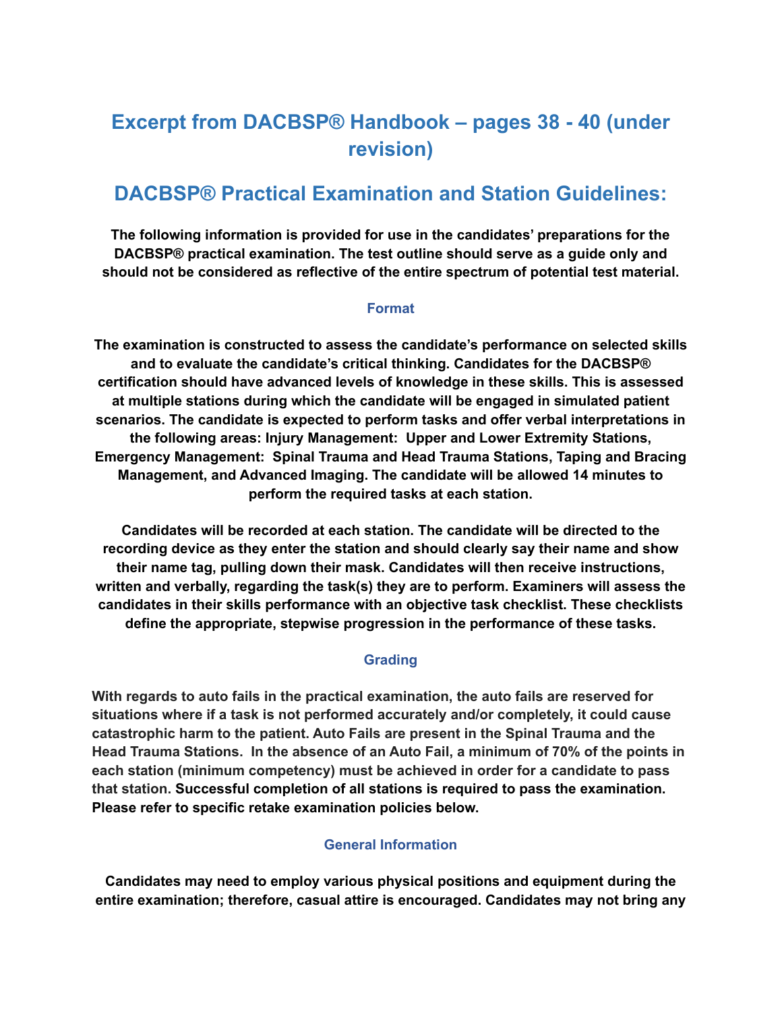# **Excerpt from DACBSP® Handbook – pages 38 - 40 (under revision)**

## **DACBSP® Practical Examination and Station Guidelines:**

**The following information is provided for use in the candidates' preparations for the DACBSP® practical examination. The test outline should serve as a guide only and should not be considered as reflective of the entire spectrum of potential test material.**

#### **Format**

**The examination is constructed to assess the candidate's performance on selected skills and to evaluate the candidate's critical thinking. Candidates for the DACBSP® certification should have advanced levels of knowledge in these skills. This is assessed at multiple stations during which the candidate will be engaged in simulated patient scenarios. The candidate is expected to perform tasks and offer verbal interpretations in the following areas: Injury Management: Upper and Lower Extremity Stations, Emergency Management: Spinal Trauma and Head Trauma Stations, Taping and Bracing Management, and Advanced Imaging. The candidate will be allowed 14 minutes to perform the required tasks at each station.**

**Candidates will be recorded at each station. The candidate will be directed to the recording device as they enter the station and should clearly say their name and show their name tag, pulling down their mask. Candidates will then receive instructions, written and verbally, regarding the task(s) they are to perform. Examiners will assess the candidates in their skills performance with an objective task checklist. These checklists define the appropriate, stepwise progression in the performance of these tasks.**

#### **Grading**

**With regards to auto fails in the practical examination, the auto fails are reserved for situations where if a task is not performed accurately and/or completely, it could cause catastrophic harm to the patient. Auto Fails are present in the Spinal Trauma and the Head Trauma Stations. In the absence of an Auto Fail, a minimum of 70% of the points in each station (minimum competency) must be achieved in order for a candidate to pass that station. Successful completion of all stations is required to pass the examination. Please refer to specific retake examination policies below.**

#### **General Information**

**Candidates may need to employ various physical positions and equipment during the entire examination; therefore, casual attire is encouraged. Candidates may not bring any**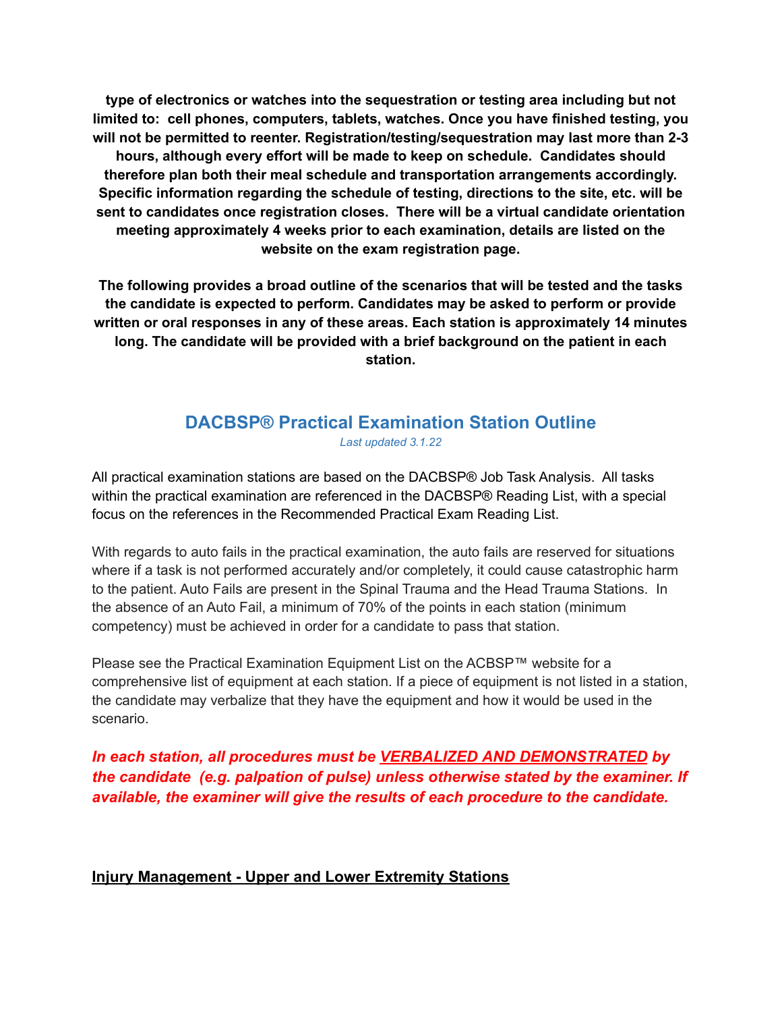**type of electronics or watches into the sequestration or testing area including but not limited to: cell phones, computers, tablets, watches. Once you have finished testing, you will not be permitted to reenter. Registration/testing/sequestration may last more than 2-3 hours, although every effort will be made to keep on schedule. Candidates should therefore plan both their meal schedule and transportation arrangements accordingly. Specific information regarding the schedule of testing, directions to the site, etc. will be sent to candidates once registration closes. There will be a virtual candidate orientation meeting approximately 4 weeks prior to each examination, details are listed on the website on the exam registration page.**

**The following provides a broad outline of the scenarios that will be tested and the tasks the candidate is expected to perform. Candidates may be asked to perform or provide written or oral responses in any of these areas. Each station is approximately 14 minutes long. The candidate will be provided with a brief background on the patient in each station.**

### **DACBSP® Practical Examination Station Outline** *Last updated 3.1.22*

All practical examination stations are based on the DACBSP® Job Task Analysis. All tasks within the practical examination are referenced in the DACBSP® Reading List, with a special focus on the references in the Recommended Practical Exam Reading List.

With regards to auto fails in the practical examination, the auto fails are reserved for situations where if a task is not performed accurately and/or completely, it could cause catastrophic harm to the patient. Auto Fails are present in the Spinal Trauma and the Head Trauma Stations. In the absence of an Auto Fail, a minimum of 70% of the points in each station (minimum competency) must be achieved in order for a candidate to pass that station.

Please see the Practical Examination Equipment List on the ACBSP™ website for a comprehensive list of equipment at each station. If a piece of equipment is not listed in a station, the candidate may verbalize that they have the equipment and how it would be used in the scenario.

## *In each station, all procedures must be VERBALIZED AND DEMONSTRATED by the candidate (e.g. palpation of pulse) unless otherwise stated by the examiner. If available, the examiner will give the results of each procedure to the candidate.*

### **Injury Management - Upper and Lower Extremity Stations**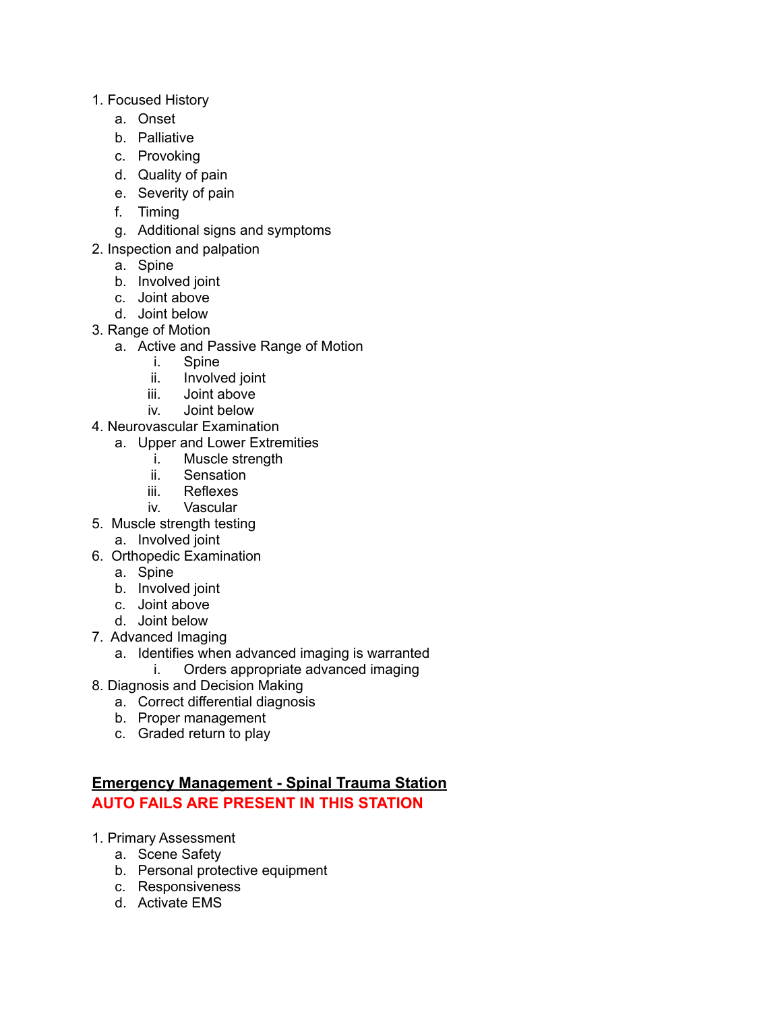- 1. Focused History
	- a. Onset
	- b. Palliative
	- c. Provoking
	- d. Quality of pain
	- e. Severity of pain
	- f. Timing
	- g. Additional signs and symptoms
- 2. Inspection and palpation
	- a. Spine
	- b. Involved joint
	- c. Joint above
	- d. Joint below
- 3. Range of Motion
	- a. Active and Passive Range of Motion
		- i. Spine
		- ii. Involved joint
		- iii. Joint above
		- iv. Joint below
- 4. Neurovascular Examination
	- a. Upper and Lower Extremities
		- i. Muscle strength
		- ii. Sensation
		- iii. Reflexes
		- iv. Vascular
- 5. Muscle strength testing
	- a. Involved joint
- 6. Orthopedic Examination
	- a. Spine
	- b. Involved joint
	- c. Joint above
	- d. Joint below
- 7. Advanced Imaging
	- a. Identifies when advanced imaging is warranted
		- i. Orders appropriate advanced imaging
- 8. Diagnosis and Decision Making
	- a. Correct differential diagnosis
	- b. Proper management
	- c. Graded return to play

## **Emergency Management - Spinal Trauma Station AUTO FAILS ARE PRESENT IN THIS STATION**

- 1. Primary Assessment
	- a. Scene Safety
	- b. Personal protective equipment
	- c. Responsiveness
	- d. Activate EMS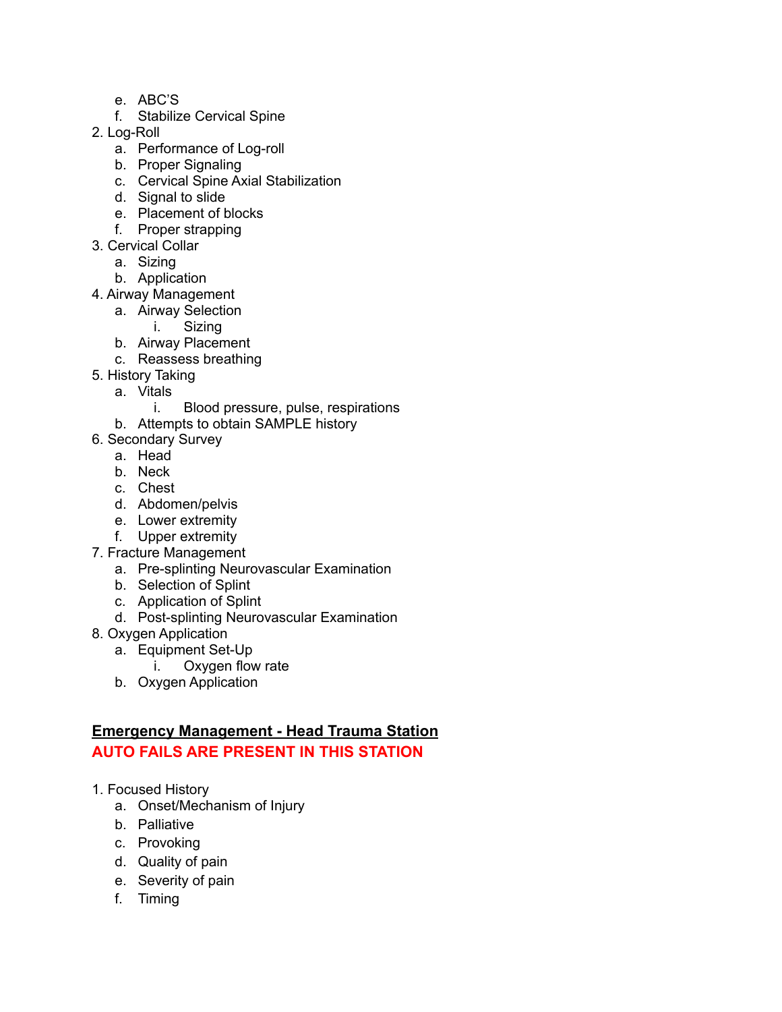- e. ABC'S
- f. Stabilize Cervical Spine
- 2. Log-Roll
	- a. Performance of Log-roll
	- b. Proper Signaling
	- c. Cervical Spine Axial Stabilization
	- d. Signal to slide
	- e. Placement of blocks
	- f. Proper strapping
- 3. Cervical Collar
	- a. Sizing
	- b. Application
- 4. Airway Management
	- a. Airway Selection
		- i. Sizing
	- b. Airway Placement
	- c. Reassess breathing
- 5. History Taking
	- a. Vitals
		- i. Blood pressure, pulse, respirations
	- b. Attempts to obtain SAMPLE history
- 6. Secondary Survey
	- a. Head
	- b. Neck
	- c. Chest
	- d. Abdomen/pelvis
	- e. Lower extremity
	- f. Upper extremity
- 7. Fracture Management
	- a. Pre-splinting Neurovascular Examination
	- b. Selection of Splint
	- c. Application of Splint
	- d. Post-splinting Neurovascular Examination
- 8. Oxygen Application
	- a. Equipment Set-Up
		- i. Oxygen flow rate
	- b. Oxygen Application

# **Emergency Management - Head Trauma Station**

## **AUTO FAILS ARE PRESENT IN THIS STATION**

- 1. Focused History
	- a. Onset/Mechanism of Injury
	- b. Palliative
	- c. Provoking
	- d. Quality of pain
	- e. Severity of pain
	- f. Timing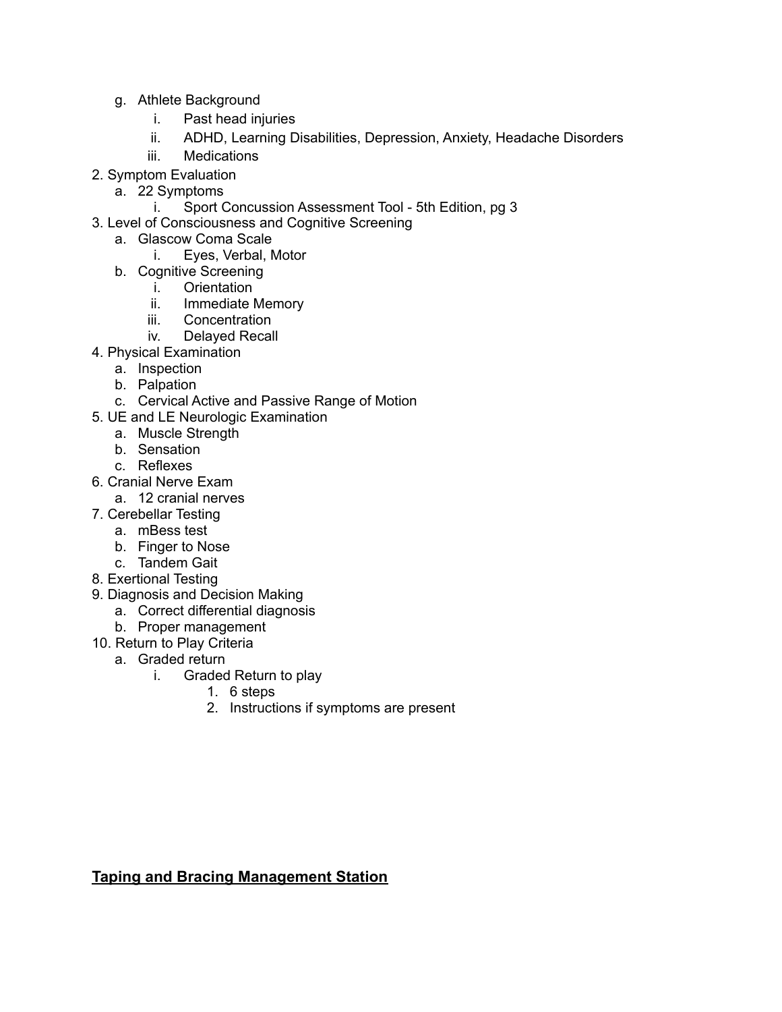- g. Athlete Background
	- i. Past head injuries
	- ii. ADHD, Learning Disabilities, Depression, Anxiety, Headache Disorders
	- iii. Medications
- 2. Symptom Evaluation
	- a. 22 Symptoms
		- i. Sport Concussion Assessment Tool 5th Edition, pg 3
- 3. Level of Consciousness and Cognitive Screening
	- a. Glascow Coma Scale
		- i. Eyes, Verbal, Motor
	- b. Cognitive Screening
		- i. Orientation<br>ii. Immediate l
			- Immediate Memory
			- iii. Concentration
			- iv. Delayed Recall
- 4. Physical Examination
	- a. Inspection
	- b. Palpation
	- c. Cervical Active and Passive Range of Motion
- 5. UE and LE Neurologic Examination
	- a. Muscle Strength
	- b. Sensation
	- c. Reflexes
- 6. Cranial Nerve Exam
	- a. 12 cranial nerves
- 7. Cerebellar Testing
	- a. mBess test
	- b. Finger to Nose
	- c. Tandem Gait
- 8. Exertional Testing
- 9. Diagnosis and Decision Making
	- a. Correct differential diagnosis
	- b. Proper management
- 10. Return to Play Criteria
	- a. Graded return
		- i. Graded Return to play
			- 1. 6 steps
			- 2. Instructions if symptoms are present

#### **Taping and Bracing Management Station**